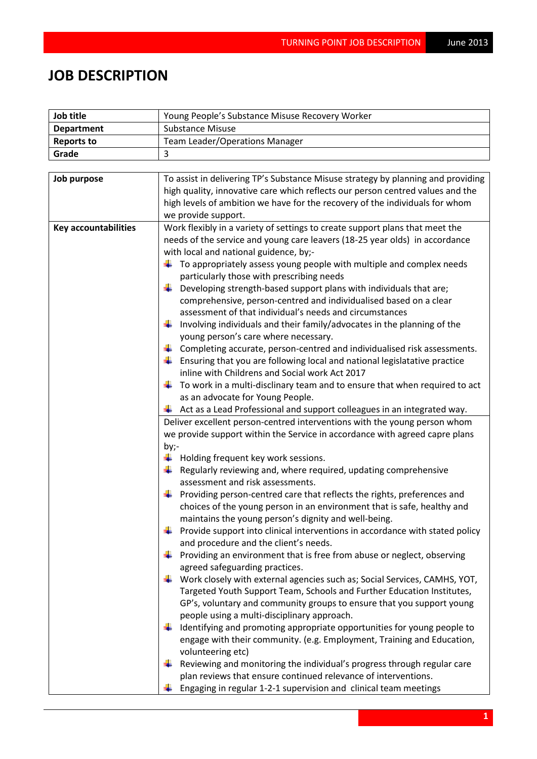## **JOB DESCRIPTION**

| Job title                   | Young People's Substance Misuse Recovery Worker                                                                                                                                                                                                                                                                                                                                                                                                                                                                                                                                                                                                                                                                                                                                                                                                                                                                                                                                                                                                                                                                                                                                                                                                                                                                                                                                                                                                                                                                                                                                                                                                                                                                                                                                                                                                                                                                                                                                                                                                                                                                                                                                                                                                                                                               |  |  |
|-----------------------------|---------------------------------------------------------------------------------------------------------------------------------------------------------------------------------------------------------------------------------------------------------------------------------------------------------------------------------------------------------------------------------------------------------------------------------------------------------------------------------------------------------------------------------------------------------------------------------------------------------------------------------------------------------------------------------------------------------------------------------------------------------------------------------------------------------------------------------------------------------------------------------------------------------------------------------------------------------------------------------------------------------------------------------------------------------------------------------------------------------------------------------------------------------------------------------------------------------------------------------------------------------------------------------------------------------------------------------------------------------------------------------------------------------------------------------------------------------------------------------------------------------------------------------------------------------------------------------------------------------------------------------------------------------------------------------------------------------------------------------------------------------------------------------------------------------------------------------------------------------------------------------------------------------------------------------------------------------------------------------------------------------------------------------------------------------------------------------------------------------------------------------------------------------------------------------------------------------------------------------------------------------------------------------------------------------------|--|--|
| <b>Department</b>           | <b>Substance Misuse</b>                                                                                                                                                                                                                                                                                                                                                                                                                                                                                                                                                                                                                                                                                                                                                                                                                                                                                                                                                                                                                                                                                                                                                                                                                                                                                                                                                                                                                                                                                                                                                                                                                                                                                                                                                                                                                                                                                                                                                                                                                                                                                                                                                                                                                                                                                       |  |  |
| <b>Reports to</b>           | <b>Team Leader/Operations Manager</b>                                                                                                                                                                                                                                                                                                                                                                                                                                                                                                                                                                                                                                                                                                                                                                                                                                                                                                                                                                                                                                                                                                                                                                                                                                                                                                                                                                                                                                                                                                                                                                                                                                                                                                                                                                                                                                                                                                                                                                                                                                                                                                                                                                                                                                                                         |  |  |
| Grade                       | 3                                                                                                                                                                                                                                                                                                                                                                                                                                                                                                                                                                                                                                                                                                                                                                                                                                                                                                                                                                                                                                                                                                                                                                                                                                                                                                                                                                                                                                                                                                                                                                                                                                                                                                                                                                                                                                                                                                                                                                                                                                                                                                                                                                                                                                                                                                             |  |  |
|                             |                                                                                                                                                                                                                                                                                                                                                                                                                                                                                                                                                                                                                                                                                                                                                                                                                                                                                                                                                                                                                                                                                                                                                                                                                                                                                                                                                                                                                                                                                                                                                                                                                                                                                                                                                                                                                                                                                                                                                                                                                                                                                                                                                                                                                                                                                                               |  |  |
| Job purpose                 | To assist in delivering TP's Substance Misuse strategy by planning and providing<br>high quality, innovative care which reflects our person centred values and the<br>high levels of ambition we have for the recovery of the individuals for whom<br>we provide support.                                                                                                                                                                                                                                                                                                                                                                                                                                                                                                                                                                                                                                                                                                                                                                                                                                                                                                                                                                                                                                                                                                                                                                                                                                                                                                                                                                                                                                                                                                                                                                                                                                                                                                                                                                                                                                                                                                                                                                                                                                     |  |  |
| <b>Key accountabilities</b> | Work flexibly in a variety of settings to create support plans that meet the                                                                                                                                                                                                                                                                                                                                                                                                                                                                                                                                                                                                                                                                                                                                                                                                                                                                                                                                                                                                                                                                                                                                                                                                                                                                                                                                                                                                                                                                                                                                                                                                                                                                                                                                                                                                                                                                                                                                                                                                                                                                                                                                                                                                                                  |  |  |
|                             | needs of the service and young care leavers (18-25 year olds) in accordance<br>with local and national guidence, by;-<br>$\ddagger$ To appropriately assess young people with multiple and complex needs<br>particularly those with prescribing needs<br>₩<br>Developing strength-based support plans with individuals that are;<br>comprehensive, person-centred and individualised based on a clear<br>assessment of that individual's needs and circumstances<br>Involving individuals and their family/advocates in the planning of the<br>young person's care where necessary.<br>$\downarrow$ Completing accurate, person-centred and individualised risk assessments.<br>$\downarrow$ Ensuring that you are following local and national legislatative practice<br>inline with Childrens and Social work Act 2017<br>$\ddagger$ To work in a multi-disclinary team and to ensure that when required to act<br>as an advocate for Young People.<br>$\frac{1}{2}$ Act as a Lead Professional and support colleagues in an integrated way.<br>Deliver excellent person-centred interventions with the young person whom<br>we provide support within the Service in accordance with agreed capre plans<br>by;-<br>$\frac{1}{2}$ Holding frequent key work sessions.<br>$\frac{1}{2}$ Regularly reviewing and, where required, updating comprehensive<br>assessment and risk assessments.<br>Providing person-centred care that reflects the rights, preferences and<br>₩<br>choices of the young person in an environment that is safe, healthy and<br>maintains the young person's dignity and well-being.<br>Provide support into clinical interventions in accordance with stated policy<br>and procedure and the client's needs.<br>Providing an environment that is free from abuse or neglect, observing<br>agreed safeguarding practices.<br>Work closely with external agencies such as; Social Services, CAMHS, YOT,<br>Targeted Youth Support Team, Schools and Further Education Institutes,<br>GP's, voluntary and community groups to ensure that you support young<br>people using a multi-disciplinary approach.<br>Identifying and promoting appropriate opportunities for young people to<br>engage with their community. (e.g. Employment, Training and Education,<br>volunteering etc) |  |  |
|                             | Reviewing and monitoring the individual's progress through regular care<br>plan reviews that ensure continued relevance of interventions.<br>Engaging in regular 1-2-1 supervision and clinical team meetings                                                                                                                                                                                                                                                                                                                                                                                                                                                                                                                                                                                                                                                                                                                                                                                                                                                                                                                                                                                                                                                                                                                                                                                                                                                                                                                                                                                                                                                                                                                                                                                                                                                                                                                                                                                                                                                                                                                                                                                                                                                                                                 |  |  |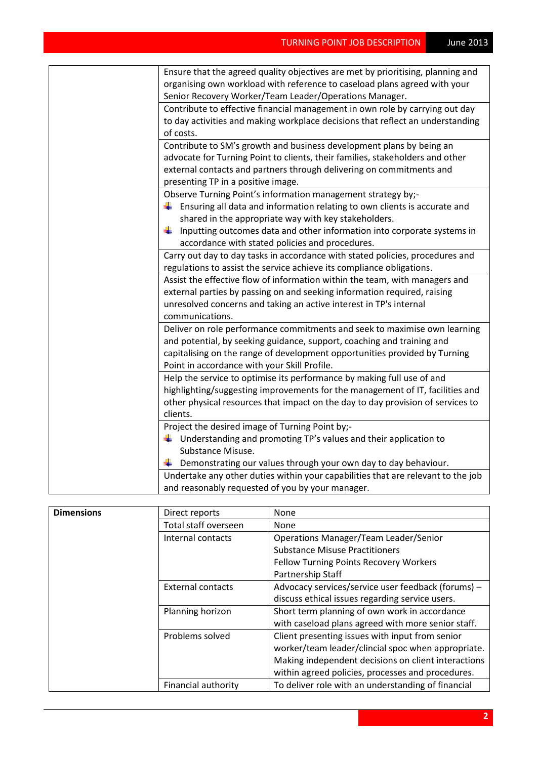| Ensure that the agreed quality objectives are met by prioritising, planning and<br>organising own workload with reference to caseload plans agreed with your<br>Senior Recovery Worker/Team Leader/Operations Manager. |
|------------------------------------------------------------------------------------------------------------------------------------------------------------------------------------------------------------------------|
| Contribute to effective financial management in own role by carrying out day                                                                                                                                           |
| to day activities and making workplace decisions that reflect an understanding<br>of costs.                                                                                                                            |
| Contribute to SM's growth and business development plans by being an                                                                                                                                                   |
| advocate for Turning Point to clients, their families, stakeholders and other                                                                                                                                          |
| external contacts and partners through delivering on commitments and                                                                                                                                                   |
| presenting TP in a positive image.                                                                                                                                                                                     |
| Observe Turning Point's information management strategy by;-                                                                                                                                                           |
| $\ddagger$ Ensuring all data and information relating to own clients is accurate and                                                                                                                                   |
|                                                                                                                                                                                                                        |
| shared in the appropriate way with key stakeholders.                                                                                                                                                                   |
| Inputting outcomes data and other information into corporate systems in<br>¥                                                                                                                                           |
| accordance with stated policies and procedures.                                                                                                                                                                        |
| Carry out day to day tasks in accordance with stated policies, procedures and                                                                                                                                          |
| regulations to assist the service achieve its compliance obligations.                                                                                                                                                  |
| Assist the effective flow of information within the team, with managers and                                                                                                                                            |
| external parties by passing on and seeking information required, raising                                                                                                                                               |
| unresolved concerns and taking an active interest in TP's internal                                                                                                                                                     |
| communications.                                                                                                                                                                                                        |
| Deliver on role performance commitments and seek to maximise own learning                                                                                                                                              |
| and potential, by seeking guidance, support, coaching and training and                                                                                                                                                 |
| capitalising on the range of development opportunities provided by Turning                                                                                                                                             |
| Point in accordance with your Skill Profile.                                                                                                                                                                           |
| Help the service to optimise its performance by making full use of and                                                                                                                                                 |
| highlighting/suggesting improvements for the management of IT, facilities and                                                                                                                                          |
| other physical resources that impact on the day to day provision of services to                                                                                                                                        |
| clients.                                                                                                                                                                                                               |
| Project the desired image of Turning Point by;-                                                                                                                                                                        |
| $\ddag$ Understanding and promoting TP's values and their application to                                                                                                                                               |
| Substance Misuse.                                                                                                                                                                                                      |
| Demonstrating our values through your own day to day behaviour.<br>÷                                                                                                                                                   |
| Undertake any other duties within your capabilities that are relevant to the job                                                                                                                                       |
|                                                                                                                                                                                                                        |
| and reasonably requested of you by your manager.                                                                                                                                                                       |

| <b>Dimensions</b> | Direct reports             | <b>None</b>                                         |
|-------------------|----------------------------|-----------------------------------------------------|
|                   | Total staff overseen       | None                                                |
|                   | Internal contacts          | <b>Operations Manager/Team Leader/Senior</b>        |
|                   |                            | <b>Substance Misuse Practitioners</b>               |
|                   |                            | <b>Fellow Turning Points Recovery Workers</b>       |
|                   |                            | Partnership Staff                                   |
|                   | <b>External contacts</b>   | Advocacy services/service user feedback (forums) -  |
|                   |                            | discuss ethical issues regarding service users.     |
|                   | Planning horizon           | Short term planning of own work in accordance       |
|                   |                            | with caseload plans agreed with more senior staff.  |
|                   | Problems solved            | Client presenting issues with input from senior     |
|                   |                            | worker/team leader/clincial spoc when appropriate.  |
|                   |                            | Making independent decisions on client interactions |
|                   |                            | within agreed policies, processes and procedures.   |
|                   | <b>Financial authority</b> | To deliver role with an understanding of financial  |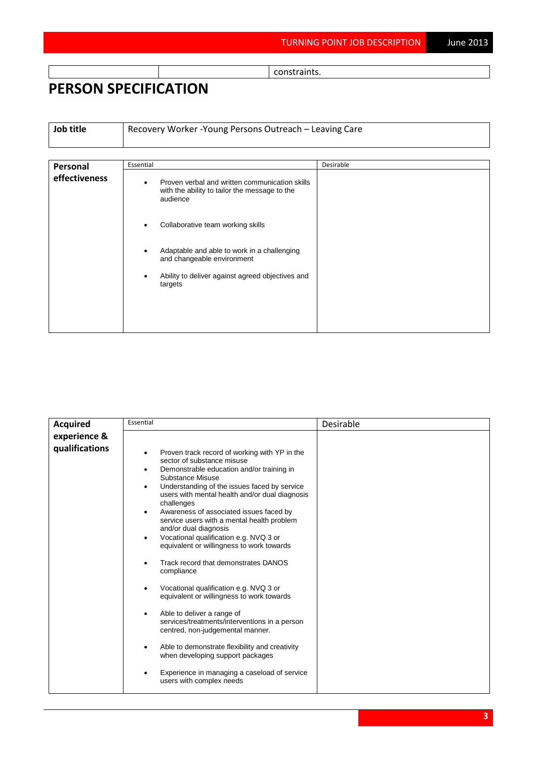constraints.

## **PERSON SPECIFICATION**

**Job title** Recovery Worker -Young Persons Outreach – Leaving Care

| Personal      | Essential                                                                                                                | Desirable |
|---------------|--------------------------------------------------------------------------------------------------------------------------|-----------|
| effectiveness | Proven verbal and written communication skills<br>$\bullet$<br>with the ability to tailor the message to the<br>audience |           |
|               | Collaborative team working skills<br>$\bullet$                                                                           |           |
|               | Adaptable and able to work in a challenging<br>$\bullet$<br>and changeable environment                                   |           |
|               | Ability to deliver against agreed objectives and<br>$\bullet$<br>targets                                                 |           |
|               |                                                                                                                          |           |

| <b>Acquired</b> | Essential                                                                                                                                                                                                                                                                                                                                                                                                                                                                                                                                                                                                                                                                                                                                                                                                                                                                                                                                               | Desirable |
|-----------------|---------------------------------------------------------------------------------------------------------------------------------------------------------------------------------------------------------------------------------------------------------------------------------------------------------------------------------------------------------------------------------------------------------------------------------------------------------------------------------------------------------------------------------------------------------------------------------------------------------------------------------------------------------------------------------------------------------------------------------------------------------------------------------------------------------------------------------------------------------------------------------------------------------------------------------------------------------|-----------|
| experience &    |                                                                                                                                                                                                                                                                                                                                                                                                                                                                                                                                                                                                                                                                                                                                                                                                                                                                                                                                                         |           |
| qualifications  | Proven track record of working with YP in the<br>٠<br>sector of substance misuse<br>Demonstrable education and/or training in<br>Substance Misuse<br>Understanding of the issues faced by service<br>$\bullet$<br>users with mental health and/or dual diagnosis<br>challenges<br>Awareness of associated issues faced by<br>٠<br>service users with a mental health problem<br>and/or dual diagnosis<br>Vocational qualification e.g. NVQ 3 or<br>٠<br>equivalent or willingness to work towards<br>Track record that demonstrates DANOS<br>compliance<br>Vocational qualification e.g. NVQ 3 or<br>٠<br>equivalent or willingness to work towards<br>Able to deliver a range of<br>٠<br>services/treatments/interventions in a person<br>centred, non-judgemental manner.<br>Able to demonstrate flexibility and creativity<br>٠<br>when developing support packages<br>Experience in managing a caseload of service<br>٠<br>users with complex needs |           |